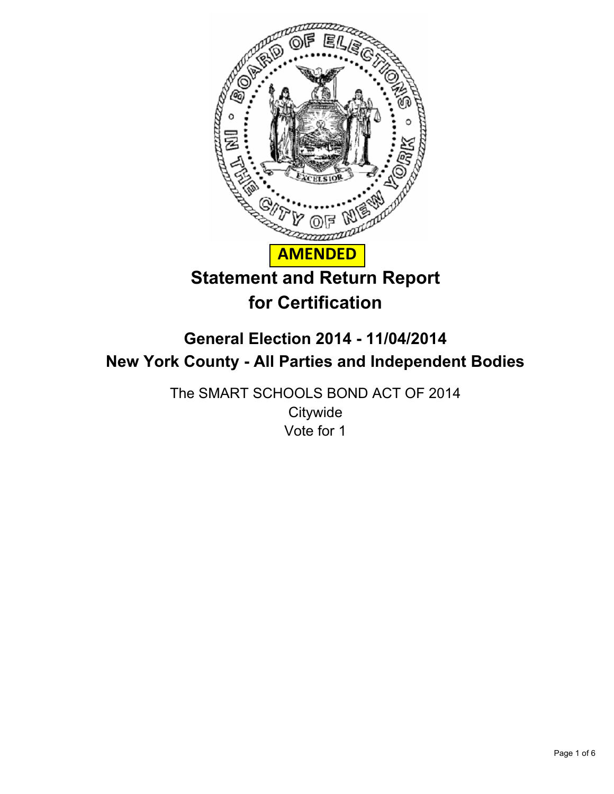

# **General Election 2014 - 11/04/2014 New York County - All Parties and Independent Bodies**

The SMART SCHOOLS BOND ACT OF 2014 **Citywide** Vote for 1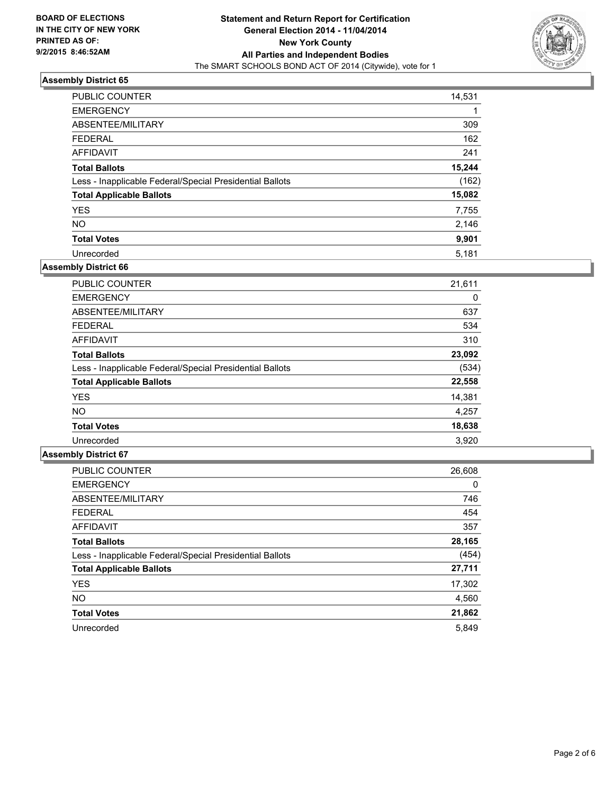

| <b>PUBLIC COUNTER</b>                                    | 14,531 |
|----------------------------------------------------------|--------|
| <b>EMERGENCY</b>                                         |        |
| ABSENTEE/MILITARY                                        | 309    |
| <b>FEDERAL</b>                                           | 162    |
| <b>AFFIDAVIT</b>                                         | 241    |
| <b>Total Ballots</b>                                     | 15,244 |
| Less - Inapplicable Federal/Special Presidential Ballots | (162)  |
| <b>Total Applicable Ballots</b>                          | 15,082 |
| <b>YES</b>                                               | 7,755  |
| <b>NO</b>                                                | 2,146  |
| <b>Total Votes</b>                                       | 9,901  |
| Unrecorded                                               | 5,181  |

## **Assembly District 66**

| <b>PUBLIC COUNTER</b>                                    | 21,611 |
|----------------------------------------------------------|--------|
| <b>EMERGENCY</b>                                         | 0      |
| ABSENTEE/MILITARY                                        | 637    |
| <b>FEDERAL</b>                                           | 534    |
| <b>AFFIDAVIT</b>                                         | 310    |
| <b>Total Ballots</b>                                     | 23,092 |
| Less - Inapplicable Federal/Special Presidential Ballots | (534)  |
| <b>Total Applicable Ballots</b>                          | 22,558 |
| <b>YES</b>                                               | 14,381 |
| <b>NO</b>                                                | 4,257  |
| <b>Total Votes</b>                                       | 18,638 |
| Unrecorded                                               | 3,920  |

| <b>PUBLIC COUNTER</b>                                    | 26,608 |
|----------------------------------------------------------|--------|
| <b>EMERGENCY</b>                                         | 0      |
| ABSENTEE/MILITARY                                        | 746    |
| <b>FEDERAL</b>                                           | 454    |
| <b>AFFIDAVIT</b>                                         | 357    |
| <b>Total Ballots</b>                                     | 28,165 |
| Less - Inapplicable Federal/Special Presidential Ballots | (454)  |
| <b>Total Applicable Ballots</b>                          | 27,711 |
| <b>YES</b>                                               | 17,302 |
| NO.                                                      | 4,560  |
| <b>Total Votes</b>                                       | 21,862 |
| Unrecorded                                               | 5.849  |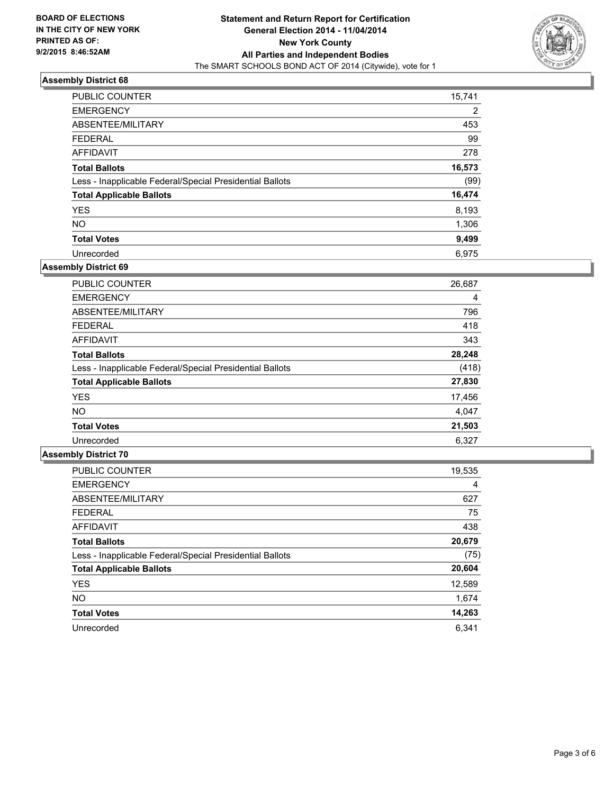

| <b>PUBLIC COUNTER</b>                                    | 15,741 |
|----------------------------------------------------------|--------|
| <b>EMERGENCY</b>                                         | 2      |
| ABSENTEE/MILITARY                                        | 453    |
| <b>FEDERAL</b>                                           | 99     |
| AFFIDAVIT                                                | 278    |
| <b>Total Ballots</b>                                     | 16,573 |
| Less - Inapplicable Federal/Special Presidential Ballots | (99)   |
| <b>Total Applicable Ballots</b>                          | 16,474 |
| <b>YES</b>                                               | 8,193  |
| <b>NO</b>                                                | 1,306  |
| <b>Total Votes</b>                                       | 9,499  |
| Unrecorded                                               | 6.975  |

#### **Assembly District 69**

| <b>PUBLIC COUNTER</b>                                    | 26,687 |
|----------------------------------------------------------|--------|
| <b>EMERGENCY</b>                                         | 4      |
| ABSENTEE/MILITARY                                        | 796    |
| <b>FEDERAL</b>                                           | 418    |
| AFFIDAVIT                                                | 343    |
| <b>Total Ballots</b>                                     | 28,248 |
| Less - Inapplicable Federal/Special Presidential Ballots | (418)  |
| <b>Total Applicable Ballots</b>                          | 27,830 |
| <b>YES</b>                                               | 17,456 |
| <b>NO</b>                                                | 4,047  |
| <b>Total Votes</b>                                       | 21,503 |
| Unrecorded                                               | 6,327  |

| <b>PUBLIC COUNTER</b>                                    | 19,535 |
|----------------------------------------------------------|--------|
| <b>EMERGENCY</b>                                         | 4      |
| ABSENTEE/MILITARY                                        | 627    |
| <b>FEDERAL</b>                                           | 75     |
| AFFIDAVIT                                                | 438    |
| <b>Total Ballots</b>                                     | 20,679 |
| Less - Inapplicable Federal/Special Presidential Ballots | (75)   |
| <b>Total Applicable Ballots</b>                          | 20,604 |
|                                                          |        |
| <b>YES</b>                                               | 12,589 |
| <b>NO</b>                                                | 1,674  |
| <b>Total Votes</b>                                       | 14,263 |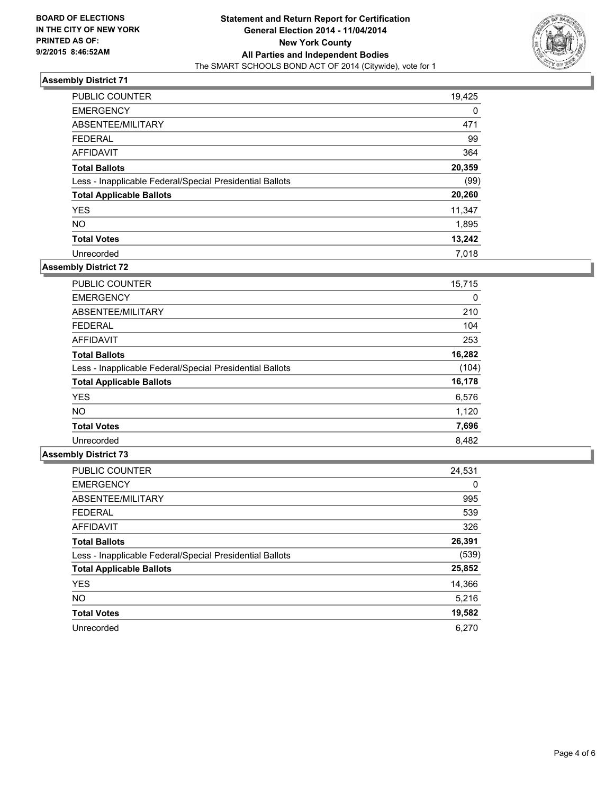

| <b>PUBLIC COUNTER</b>                                    | 19,425 |
|----------------------------------------------------------|--------|
| <b>EMERGENCY</b>                                         | 0      |
| ABSENTEE/MILITARY                                        | 471    |
| <b>FEDERAL</b>                                           | 99     |
| <b>AFFIDAVIT</b>                                         | 364    |
| <b>Total Ballots</b>                                     | 20,359 |
| Less - Inapplicable Federal/Special Presidential Ballots | (99)   |
| <b>Total Applicable Ballots</b>                          | 20,260 |
| <b>YES</b>                                               | 11,347 |
| <b>NO</b>                                                | 1,895  |
| <b>Total Votes</b>                                       | 13,242 |
| Unrecorded                                               | 7.018  |

#### **Assembly District 72**

| PUBLIC COUNTER                                           | 15,715 |
|----------------------------------------------------------|--------|
| <b>EMERGENCY</b>                                         | 0      |
| ABSENTEE/MILITARY                                        | 210    |
| <b>FEDERAL</b>                                           | 104    |
| <b>AFFIDAVIT</b>                                         | 253    |
| <b>Total Ballots</b>                                     | 16,282 |
| Less - Inapplicable Federal/Special Presidential Ballots | (104)  |
| <b>Total Applicable Ballots</b>                          | 16,178 |
| <b>YES</b>                                               | 6,576  |
| <b>NO</b>                                                | 1,120  |
| <b>Total Votes</b>                                       | 7,696  |
| Unrecorded                                               | 8,482  |

| <b>PUBLIC COUNTER</b>                                    | 24,531 |
|----------------------------------------------------------|--------|
| <b>EMERGENCY</b>                                         | 0      |
| ABSENTEE/MILITARY                                        | 995    |
| <b>FEDERAL</b>                                           | 539    |
| <b>AFFIDAVIT</b>                                         | 326    |
| <b>Total Ballots</b>                                     | 26,391 |
| Less - Inapplicable Federal/Special Presidential Ballots | (539)  |
| <b>Total Applicable Ballots</b>                          | 25,852 |
| <b>YES</b>                                               | 14,366 |
| NO.                                                      | 5,216  |
| <b>Total Votes</b>                                       | 19,582 |
| Unrecorded                                               | 6.270  |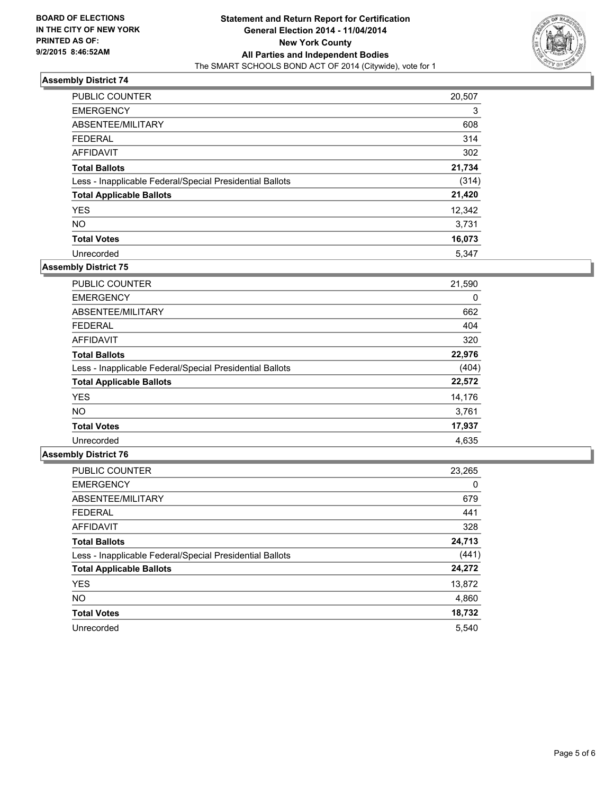

| <b>PUBLIC COUNTER</b>                                    | 20,507 |
|----------------------------------------------------------|--------|
| <b>EMERGENCY</b>                                         | 3      |
| ABSENTEE/MILITARY                                        | 608    |
| <b>FEDERAL</b>                                           | 314    |
| <b>AFFIDAVIT</b>                                         | 302    |
| <b>Total Ballots</b>                                     | 21,734 |
| Less - Inapplicable Federal/Special Presidential Ballots | (314)  |
| <b>Total Applicable Ballots</b>                          | 21,420 |
| <b>YES</b>                                               | 12,342 |
| <b>NO</b>                                                | 3,731  |
| <b>Total Votes</b>                                       | 16,073 |
| Unrecorded                                               | 5.347  |

#### **Assembly District 75**

| <b>PUBLIC COUNTER</b>                                    | 21,590 |
|----------------------------------------------------------|--------|
| <b>EMERGENCY</b>                                         | 0      |
| ABSENTEE/MILITARY                                        | 662    |
| <b>FEDERAL</b>                                           | 404    |
| <b>AFFIDAVIT</b>                                         | 320    |
| <b>Total Ballots</b>                                     | 22,976 |
| Less - Inapplicable Federal/Special Presidential Ballots | (404)  |
| <b>Total Applicable Ballots</b>                          | 22,572 |
| <b>YES</b>                                               | 14,176 |
| <b>NO</b>                                                | 3,761  |
| <b>Total Votes</b>                                       | 17,937 |
| Unrecorded                                               | 4,635  |

| <b>PUBLIC COUNTER</b>                                    | 23,265 |
|----------------------------------------------------------|--------|
| <b>EMERGENCY</b>                                         | 0      |
| ABSENTEE/MILITARY                                        | 679    |
| <b>FEDERAL</b>                                           | 441    |
| <b>AFFIDAVIT</b>                                         | 328    |
| <b>Total Ballots</b>                                     | 24,713 |
| Less - Inapplicable Federal/Special Presidential Ballots | (441)  |
| <b>Total Applicable Ballots</b>                          | 24,272 |
| <b>YES</b>                                               | 13,872 |
| NO.                                                      | 4,860  |
| <b>Total Votes</b>                                       | 18,732 |
| Unrecorded                                               | 5.540  |